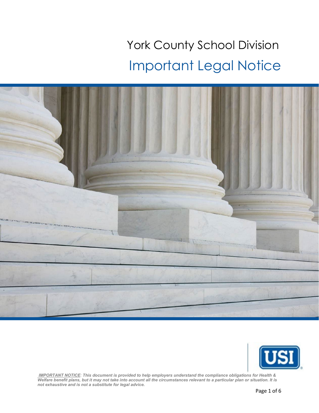## York County School Division Important Legal Notice





*IMPORTANT NOTICE: This document is provided to help employers understand the compliance obligations for Health & Welfare benefit plans, but it may not take into account all the circumstances relevant to a particular plan or situation. It is not exhaustive and is not a substitute for legal advice.*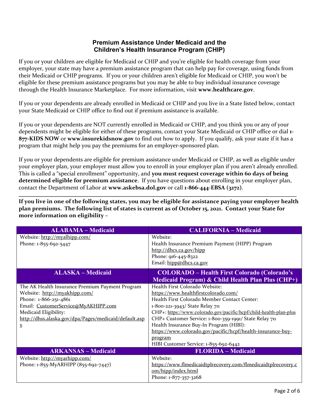## **Premium Assistance Under Medicaid and the Children's Health Insurance Program (CHIP)**

If you or your children are eligible for Medicaid or CHIP and you're eligible for health coverage from your employer, your state may have a premium assistance program that can help pay for coverage, using funds from their Medicaid or CHIP programs. If you or your children aren't eligible for Medicaid or CHIP, you won't be eligible for these premium assistance programs but you may be able to buy individual insurance coverage through the Health Insurance Marketplace. For more information, visit **[www.healthcare.gov](http://www.healthcare.gov/)**.

If you or your dependents are already enrolled in Medicaid or CHIP and you live in a State listed below, contact your State Medicaid or CHIP office to find out if premium assistance is available.

If you or your dependents are NOT currently enrolled in Medicaid or CHIP, and you think you or any of your dependents might be eligible for either of these programs, contact your State Medicaid or CHIP office or dial **1- 877-KIDS NOW** or **[www.insurekidsnow.gov](http://www.insurekidsnow.gov/)** to find out how to apply. If you qualify, ask your state if it has a program that might help you pay the premiums for an employer-sponsored plan.

If you or your dependents are eligible for premium assistance under Medicaid or CHIP, as well as eligible under your employer plan, your employer must allow you to enroll in your employer plan if you aren't already enrolled. This is called a "special enrollment" opportunity, and **you must request coverage within 60 days of being determined eligible for premium assistance**. If you have questions about enrolling in your employer plan, contact the Department of Labor at **[www.askebsa.dol.gov](http://www.askebsa.dol.gov/)** or call **1-866-444-EBSA (3272)**.

**If you live in one of the following states, you may be eligible for assistance paying your employer health plan premiums. The following list of states is current as of October 15, 2021. Contact your State for more information on eligibility –**

| <b>ALABAMA - Medicaid</b>                                                                                                                                                                                                                                      | <b>CALIFORNIA - Medicaid</b>                                                                                                                                                                                                                                                                                                                                                                                                                            |
|----------------------------------------------------------------------------------------------------------------------------------------------------------------------------------------------------------------------------------------------------------------|---------------------------------------------------------------------------------------------------------------------------------------------------------------------------------------------------------------------------------------------------------------------------------------------------------------------------------------------------------------------------------------------------------------------------------------------------------|
| Website: http://myalhipp.com/<br>Phone: 1-855-692-5447                                                                                                                                                                                                         | Website:<br>Health Insurance Premium Payment (HIPP) Program<br>http://dhcs.ca.gov/hipp<br>Phone: 916-445-8322<br>Email: hipp@dhcs.ca.gov                                                                                                                                                                                                                                                                                                                |
| <b>ALASKA – Medicaid</b>                                                                                                                                                                                                                                       | <b>COLORADO – Health First Colorado (Colorado's</b><br><b>Medicaid Program) &amp; Child Health Plan Plus (CHP+)</b>                                                                                                                                                                                                                                                                                                                                     |
| The AK Health Insurance Premium Payment Program<br>Website: http://myakhipp.com/<br>Phone: 1-866-251-4861<br>Email: CustomerService@MyAKHIPP.com<br>Medicaid Eligibility:<br>http://dhss.alaska.gov/dpa/Pages/medicaid/default.asp<br>$\underline{\mathbf{X}}$ | Health First Colorado Website:<br>https://www.healthfirstcolorado.com/<br>Health First Colorado Member Contact Center:<br>1-800-221-3943/ State Relay 711<br>CHP+: https://www.colorado.gov/pacific/hcpf/child-health-plan-plus<br>CHP+ Customer Service: 1-800-359-1991/ State Relay 711<br>Health Insurance Buy-In Program (HIBI):<br>https://www.colorado.gov/pacific/hcpf/health-insurance-buy-<br>program<br>HIBI Customer Service: 1-855-692-6442 |
| <b>ARKANSAS - Medicaid</b>                                                                                                                                                                                                                                     | <b>FLORIDA - Medicaid</b>                                                                                                                                                                                                                                                                                                                                                                                                                               |
| Website: http://myarhipp.com/<br>Phone: 1-855-MyARHIPP (855-692-7447)                                                                                                                                                                                          | Website:<br>https://www.flmedicaidtplrecovery.com/flmedicaidtplrecovery.c<br>om/hipp/index.html<br>Phone: 1-877-357-3268                                                                                                                                                                                                                                                                                                                                |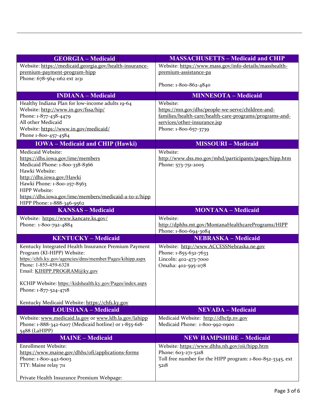| <b>GEORGIA - Medicaid</b>                                                          | <b>MASSACHUSETTS - Medicaid and CHIP</b>                                     |
|------------------------------------------------------------------------------------|------------------------------------------------------------------------------|
| Website: https://medicaid.georgia.gov/health-insurance-                            | Website: https://www.mass.gov/info-details/masshealth-                       |
| premium-payment-program-hipp                                                       | premium-assistance-pa                                                        |
| Phone: 678-564-1162 ext 2131                                                       |                                                                              |
|                                                                                    | Phone: 1-800-862-4840                                                        |
| <b>INDIANA – Medicaid</b>                                                          | <b>MINNESOTA - Medicaid</b>                                                  |
| Healthy Indiana Plan for low-income adults 19-64                                   | Website:                                                                     |
| Website: http://www.in.gov/fssa/hip/                                               | https://mn.gov/dhs/people-we-serve/children-and-                             |
| Phone: 1-877-438-4479                                                              | families/health-care/health-care-programs/programs-and-                      |
| All other Medicaid                                                                 | services/other-insurance.jsp                                                 |
| Website: https://www.in.gov/medicaid/                                              | Phone: 1-800-657-3739                                                        |
| Phone 1-800-457-4584<br><b>IOWA</b> – Medicaid and CHIP (Hawki)                    | <b>MISSOURI-Medicaid</b>                                                     |
|                                                                                    |                                                                              |
| Medicaid Website:<br>https://dhs.iowa.gov/ime/members                              | Website:                                                                     |
| Medicaid Phone: 1-800-338-8366                                                     | http://www.dss.mo.gov/mhd/participants/pages/hipp.htm<br>Phone: 573-751-2005 |
| Hawki Website:                                                                     |                                                                              |
| http://dhs.iowa.gov/Hawki                                                          |                                                                              |
| Hawki Phone: 1-800-257-8563                                                        |                                                                              |
| HIPP Website:                                                                      |                                                                              |
| https://dhs.iowa.gov/ime/members/medicaid-a-to-z/hipp                              |                                                                              |
| HIPP Phone: 1-888-346-9562                                                         |                                                                              |
| <b>KANSAS - Medicaid</b>                                                           | <b>MONTANA - Medicaid</b>                                                    |
| Website: https://www.kancare.ks.gov/                                               | Website:                                                                     |
|                                                                                    |                                                                              |
| Phone: 1-800-792-4884                                                              | http://dphhs.mt.gov/MontanaHealthcarePrograms/HIPP                           |
|                                                                                    | Phone: 1-800-694-3084                                                        |
| <b>KENTUCKY-Medicaid</b>                                                           | <b>NEBRASKA - Medicaid</b>                                                   |
| Kentucky Integrated Health Insurance Premium Payment                               | Website: http://www.ACCESSNebraska.ne.gov                                    |
| Program (KI-HIPP) Website:                                                         | Phone: 1-855-632-7633                                                        |
| https://chfs.ky.gov/agencies/dms/member/Pages/kihipp.aspx                          | Lincoln: 402-473-7000                                                        |
| Phone: 1-855-459-6328                                                              | Omaha: 402-595-1178                                                          |
| Email: KIHIPP.PROGRAM@ky.gov                                                       |                                                                              |
|                                                                                    |                                                                              |
| KCHIP Website: https://kidshealth.ky.gov/Pages/index.aspx<br>Phone: 1-877-524-4718 |                                                                              |
|                                                                                    |                                                                              |
| Kentucky Medicaid Website: https://chfs.ky.gov                                     |                                                                              |
| <b>LOUISIANA - Medicaid</b>                                                        | <b>NEVADA - Medicaid</b>                                                     |
| Website: www.medicaid.la.gov or www.ldh.la.gov/lahipp                              | Medicaid Website: http://dhcfp.nv.gov                                        |
| Phone: 1-888-342-6207 (Medicaid hotline) or 1-855-618-                             | Medicaid Phone: 1-800-992-0900                                               |
| 5488 (LaHIPP)                                                                      |                                                                              |
| <b>MAINE - Medicaid</b>                                                            | <b>NEW HAMPSHIRE - Medicaid</b>                                              |
| <b>Enrollment Website:</b>                                                         | Website: https://www.dhhs.nh.gov/oii/hipp.htm                                |
| https://www.maine.gov/dhhs/ofi/applications-forms                                  | Phone: 603-271-5218                                                          |
| Phone: 1-800-442-6003                                                              | Toll free number for the HIPP program: 1-800-852-3345, ext                   |
| TTY: Maine relay 711                                                               | 5218                                                                         |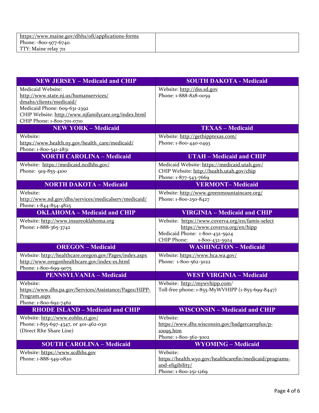| <b>NEW JERSEY – Medicaid and CHIP</b>                  | <b>SOUTH DAKOTA - Medicaid</b>                          |
|--------------------------------------------------------|---------------------------------------------------------|
| Medicaid Website:                                      | Website: http://dss.sd.gov                              |
| http://www.state.nj.us/humanservices/                  | Phone: 1-888-828-0059                                   |
| dmahs/clients/medicaid/                                |                                                         |
| Medicaid Phone: 609-631-2392                           |                                                         |
| CHIP Website: http://www.njfamilycare.org/index.html   |                                                         |
| CHIP Phone: 1-800-701-0710                             |                                                         |
| <b>NEW YORK - Medicaid</b>                             | <b>TEXAS - Medicaid</b>                                 |
| Website:                                               | Website: http://gethipptexas.com/                       |
| https://www.health.ny.gov/health_care/medicaid/        | Phone: 1-800-440-0493                                   |
| Phone: 1-800-541-2831                                  |                                                         |
| <b>NORTH CAROLINA - Medicaid</b>                       | <b>UTAH - Medicaid and CHIP</b>                         |
| Website: https://medicaid.ncdhhs.gov/                  | Medicaid Website: https://medicaid.utah.gov/            |
| Phone: 919-855-4100                                    | CHIP Website: http://health.utah.gov/chip               |
|                                                        | Phone: 1-877-543-7669                                   |
| <b>NORTH DAKOTA - Medicaid</b>                         | <b>VERMONT-Medicaid</b>                                 |
| Website:                                               | Website: http://www.greenmountaincare.org/              |
| http://www.nd.gov/dhs/services/medicalserv/medicaid/   | Phone: 1-800-250-8427                                   |
| Phone: 1-844-854-4825                                  |                                                         |
| <b>OKLAHOMA - Medicaid and CHIP</b>                    | <b>VIRGINIA - Medicaid and CHIP</b>                     |
| Website: http://www.insureoklahoma.org                 | Website: https://www.coverva.org/en/famis-select        |
| Phone: 1-888-365-3742                                  | https://www.coverva.org/en/hipp                         |
|                                                        | Medicaid Phone: 1-800-432-5924                          |
|                                                        | CHIP Phone:<br>1-800-432-5924                           |
| <b>OREGON</b> – Medicaid                               | <b>WASHINGTON - Medicaid</b>                            |
| Website: http://healthcare.oregon.gov/Pages/index.aspx | Website: https://www.hca.wa.gov/                        |
| http://www.oregonhealthcare.gov/index-es.html          | Phone: 1-800-562-3022                                   |
| Phone: 1-800-699-9075                                  |                                                         |
| <b>PENNSYLVANIA - Medicaid</b>                         | <b>WEST VIRGINIA - Medicaid</b>                         |
| Website:                                               | Website: http://mywyhipp.com/                           |
| https://www.dhs.pa.gov/Services/Assistance/Pages/HIPP- | Toll-free phone: 1-855-MyWVHIPP (1-855-699-8447)        |
| Program.aspx                                           |                                                         |
| Phone: 1-800-692-7462                                  |                                                         |
| <b>RHODE ISLAND - Medicaid and CHIP</b>                | <b>WISCONSIN - Medicaid and CHIP</b>                    |
| Website: http://www.eohhs.ri.gov/                      | Website:                                                |
| Phone: 1-855-697-4347, or 401-462-0311                 | https://www.dhs.wisconsin.gov/badgercareplus/p-         |
| (Direct RIte Share Line)                               | 10095.htm                                               |
|                                                        | Phone: 1-800-362-3002                                   |
| <b>SOUTH CAROLINA - Medicaid</b>                       | <b>WYOMING - Medicaid</b>                               |
| Website: https://www.scdhhs.gov                        | Website:                                                |
| Phone: 1-888-549-0820                                  | https://health.wyo.gov/healthcarefin/medicaid/programs- |
|                                                        | and-eligibility/                                        |
|                                                        | Phone: 1-800-251-1269                                   |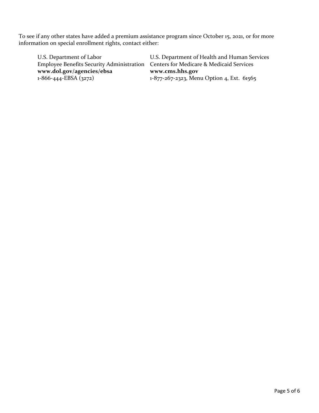To see if any other states have added a premium assistance program since October 15, 2021, or for more information on special enrollment rights, contact either:

Employee Benefits Security Administration Centers for Medicare & Medicaid Services **[www.dol.gov/agencies/ebsa](https://www.dol.gov/agencies/ebsa) [www.cms.hhs.gov](http://www.cms.hhs.gov/)**

U.S. Department of Labor U.S. Department of Health and Human Services 1-877-267-2323, Menu Option 4, Ext. 61565